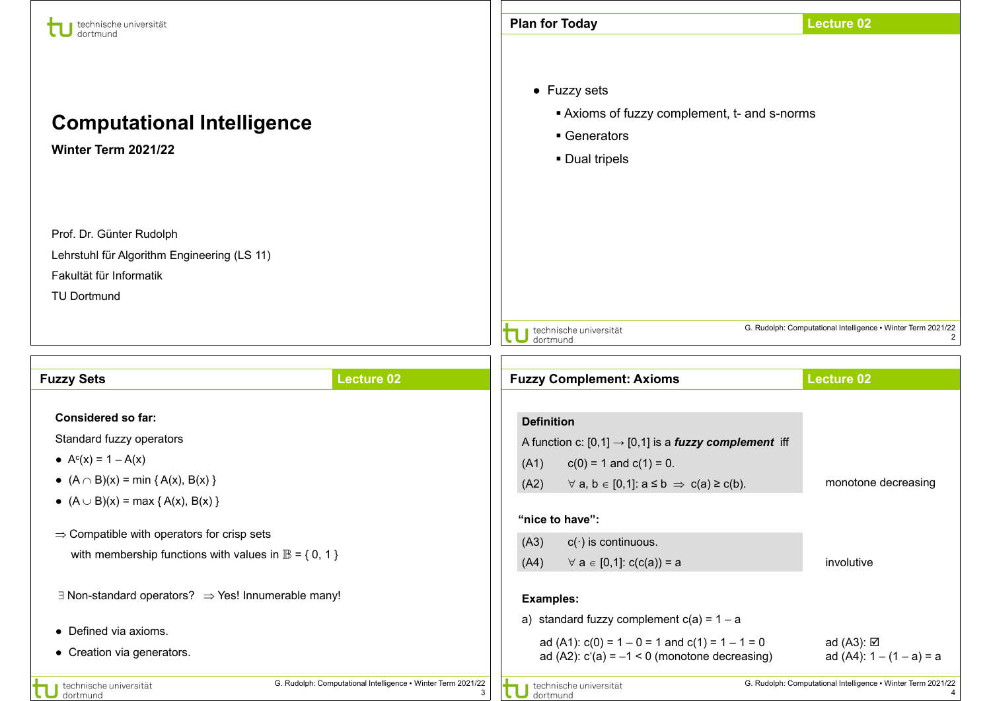| technische universität<br>dortmund                                                                                                                                                                                                                                                                                                                                                                        |                   | <b>Plan for Today</b>                                                                                                                                                                                                                                                                                                                                                                                                                             | <b>Lecture 02</b>                                                 |  |
|-----------------------------------------------------------------------------------------------------------------------------------------------------------------------------------------------------------------------------------------------------------------------------------------------------------------------------------------------------------------------------------------------------------|-------------------|---------------------------------------------------------------------------------------------------------------------------------------------------------------------------------------------------------------------------------------------------------------------------------------------------------------------------------------------------------------------------------------------------------------------------------------------------|-------------------------------------------------------------------|--|
| <b>Computational Intelligence</b><br>Winter Term 2021/22                                                                                                                                                                                                                                                                                                                                                  |                   | • Fuzzy sets<br>Axioms of fuzzy complement, t- and s-norms<br>• Generators<br>• Dual tripels                                                                                                                                                                                                                                                                                                                                                      |                                                                   |  |
| Prof. Dr. Günter Rudolph<br>Lehrstuhl für Algorithm Engineering (LS 11)<br>Fakultät für Informatik<br><b>TU Dortmund</b>                                                                                                                                                                                                                                                                                  |                   |                                                                                                                                                                                                                                                                                                                                                                                                                                                   |                                                                   |  |
|                                                                                                                                                                                                                                                                                                                                                                                                           |                   | technische universität<br>dortmund                                                                                                                                                                                                                                                                                                                                                                                                                | G. Rudolph: Computational Intelligence • Winter Term 2021/22<br>2 |  |
| <b>Fuzzy Sets</b>                                                                                                                                                                                                                                                                                                                                                                                         | <b>Lecture 02</b> | <b>Fuzzy Complement: Axioms</b>                                                                                                                                                                                                                                                                                                                                                                                                                   | <b>Lecture 02</b>                                                 |  |
| <b>Considered so far:</b><br>Standard fuzzy operators<br>• $A^{c}(x) = 1 - A(x)$<br>• $(A \cap B)(x) = min \{ A(x), B(x) \}$<br>• $(A \cup B)(x) = max \{ A(x), B(x) \}$<br>$\Rightarrow$ Compatible with operators for crisp sets<br>with membership functions with values in $\mathbb{B} = \{0, 1\}$<br>$\exists$ Non-standard operators? $\Rightarrow$ Yes! Innumerable many!<br>• Defined via axioms. |                   | <b>Definition</b><br>A function c: $[0,1] \rightarrow [0,1]$ is a <i>fuzzy complement</i> iff<br>$c(0) = 1$ and $c(1) = 0$ .<br>(A1)<br>$\forall$ a, b $\in$ [0,1]: $a \le b \Rightarrow c(a) \ge c(b)$ .<br>(A2)<br>"nice to have":<br>$c(\cdot)$ is continuous.<br>(A3)<br>$\forall a \in [0,1]$ : c(c(a)) = a<br>(A4)<br><b>Examples:</b><br>a) standard fuzzy complement $c(a) = 1 - a$<br>ad (A1): $c(0) = 1 - 0 = 1$ and $c(1) = 1 - 1 = 0$ | monotone decreasing<br>involutive<br>ad (A3): <b>Ø</b>            |  |
| • Creation via generators.                                                                                                                                                                                                                                                                                                                                                                                |                   | ad (A2): $c'(a) = -1 < 0$ (monotone decreasing)                                                                                                                                                                                                                                                                                                                                                                                                   | ad $(A4)$ : $1 - (1 - a) = a$                                     |  |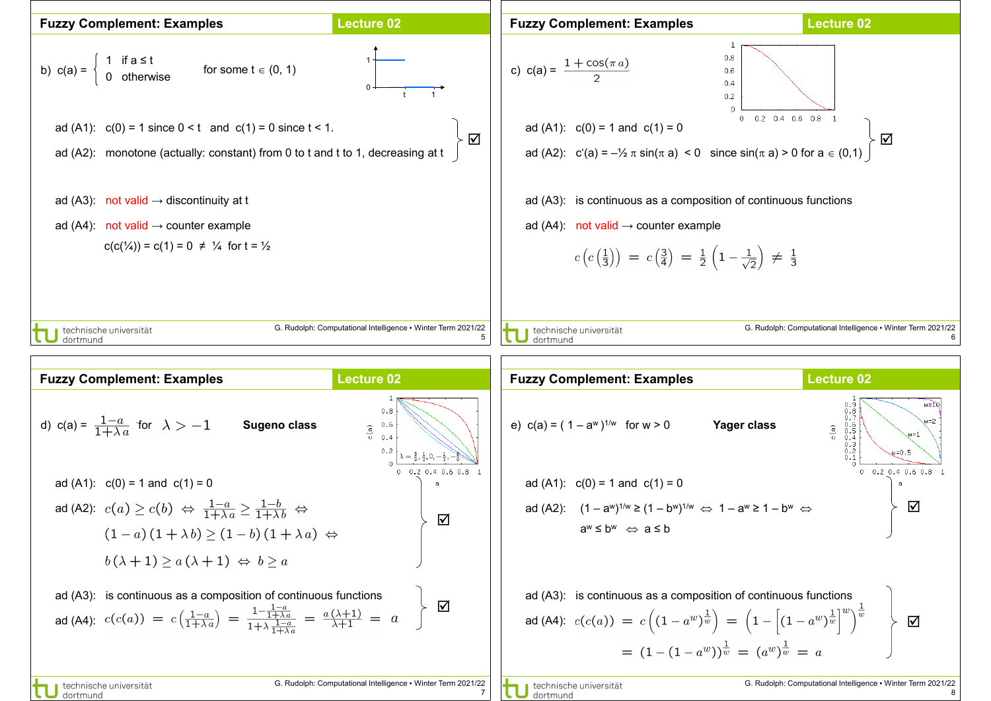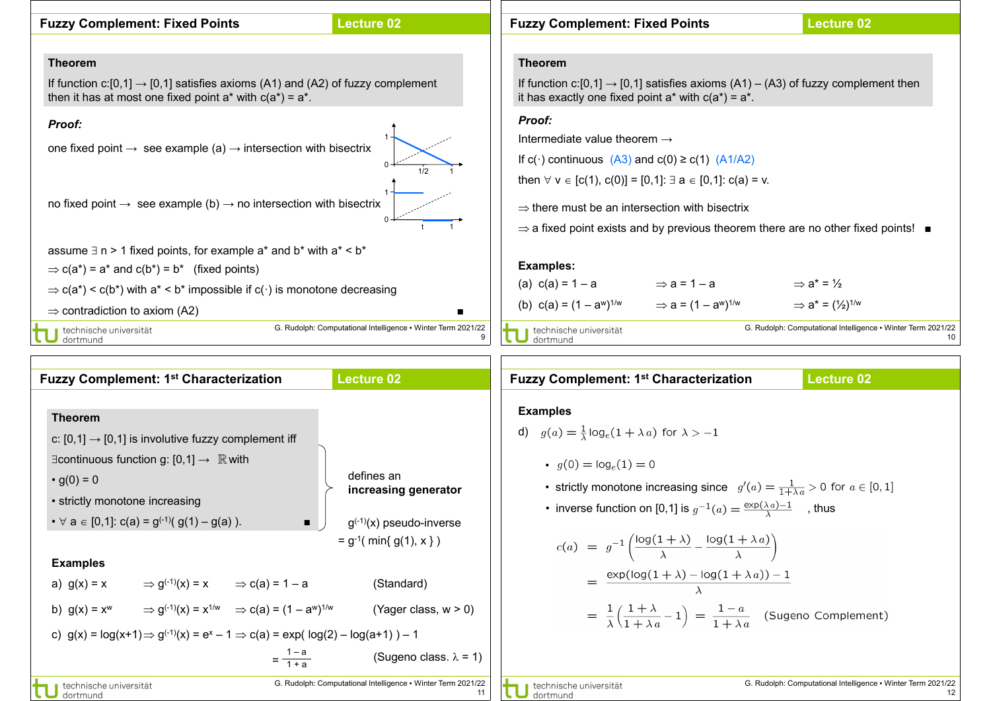

| <b>Fuzzy Complement: 1st Characterization</b>                                                                                                                                                                                                                                                                                                                                                                                                                                                                                                                                                                                               | <b>Lecture 02</b>                                                                                                                                                          | <b>Fuzzy Complement: 1st Characterization</b><br><b>Lecture 02</b>                                                                                                                                                                                                                                                                                                                                                                                                                                                                                                                                         |
|---------------------------------------------------------------------------------------------------------------------------------------------------------------------------------------------------------------------------------------------------------------------------------------------------------------------------------------------------------------------------------------------------------------------------------------------------------------------------------------------------------------------------------------------------------------------------------------------------------------------------------------------|----------------------------------------------------------------------------------------------------------------------------------------------------------------------------|------------------------------------------------------------------------------------------------------------------------------------------------------------------------------------------------------------------------------------------------------------------------------------------------------------------------------------------------------------------------------------------------------------------------------------------------------------------------------------------------------------------------------------------------------------------------------------------------------------|
| <b>Theorem</b><br>c: $[0,1] \rightarrow [0,1]$ is involutive fuzzy complement iff<br>$\exists$ continuous function g: [0,1] $\rightarrow \mathbb{R}$ with<br>• $g(0) = 0$<br>• strictly monotone increasing<br>• $\forall$ a $\in$ [0,1]: c(a) = g <sup>(-1)</sup> (g(1) – g(a)).<br>$\blacksquare$<br><b>Examples</b><br>$\Rightarrow$ g <sup>(-1)</sup> (x) = x $\Rightarrow$ c(a) = 1 – a<br>a) $g(x) = x$<br>b) $g(x) = x^w$ $\Rightarrow$ $g^{(-1)}(x) = x^{1/w}$ $\Rightarrow$ $c(a) = (1 - a^w)^{1/w}$<br>c) $g(x) = log(x+1) \Rightarrow g^{(-1)}(x) = e^x - 1 \Rightarrow c(a) = exp(log(2) - log(a+1)) - 1$<br>$=\frac{1-a}{1+a}$ | defines an<br>increasing generator<br>$g^{(-1)}(x)$ pseudo-inverse<br>$= g^{-1}$ ( min{ g(1), x })<br>(Standard)<br>(Yager class, w > 0)<br>(Sugeno class. $\lambda = 1$ ) | <b>Examples</b><br>d) $g(a) = \frac{1}{\lambda} \log_e(1 + \lambda a)$ for $\lambda > -1$<br>• $q(0) = \log_e(1) = 0$<br>• strictly monotone increasing since $g'(a) = \frac{1}{1+\lambda a} > 0$ for $a \in [0,1]$<br>• inverse function on [0,1] is $g^{-1}(a) = \frac{\exp(\lambda a) - 1}{\lambda}$ , thus<br>$c(a) = g^{-1}\left(\frac{\log(1+\lambda)}{\lambda} - \frac{\log(1+\lambda a)}{\lambda}\right)$<br>$= \frac{\exp(\log(1+\lambda)-\log(1+\lambda a))-1}{\lambda}$<br>$= \frac{1}{\lambda} \left( \frac{1+\lambda}{1+\lambda a} - 1 \right) = \frac{1-a}{1+\lambda a}$ (Sugeno Complement) |
| technische universität<br>dortmund                                                                                                                                                                                                                                                                                                                                                                                                                                                                                                                                                                                                          | G. Rudolph: Computational Intelligence . Winter Term 2021/22<br>11                                                                                                         | G. Rudolph: Computational Intelligence • Winter Term 2021/22<br>technische universität<br>dortmund                                                                                                                                                                                                                                                                                                                                                                                                                                                                                                         |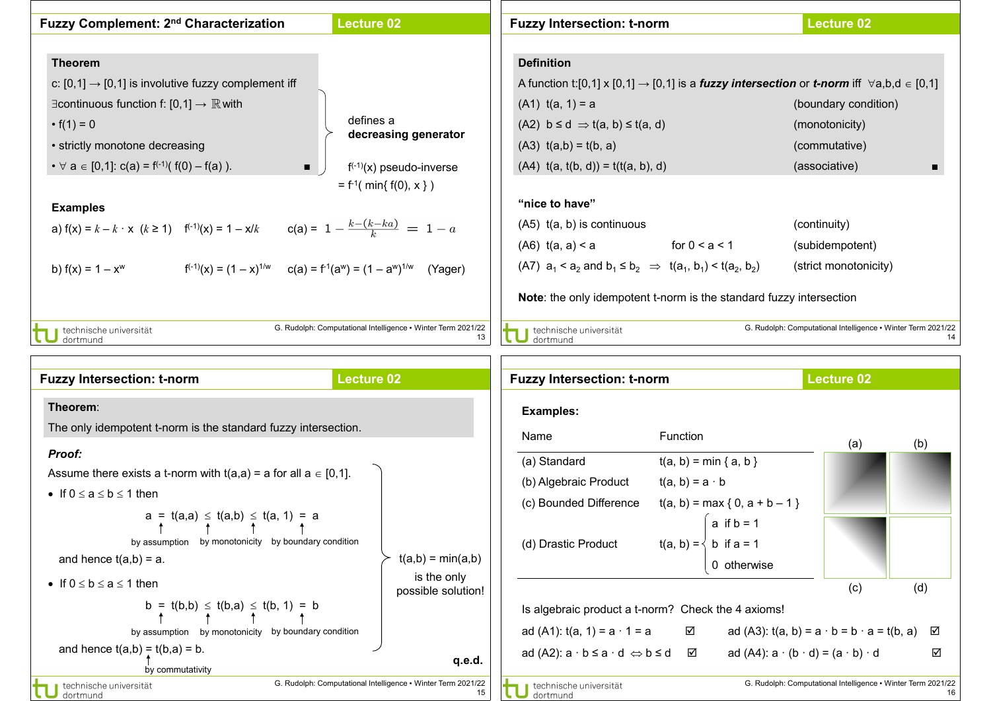| Fuzzy Complement: 2 <sup>nd</sup> Characterization                                                   | <b>Lecture 02</b>                                                  | <b>Fuzzy Intersection: t-norm</b>                                                                                              | <b>Lecture 02</b>                                            |
|------------------------------------------------------------------------------------------------------|--------------------------------------------------------------------|--------------------------------------------------------------------------------------------------------------------------------|--------------------------------------------------------------|
|                                                                                                      |                                                                    |                                                                                                                                |                                                              |
| <b>Theorem</b>                                                                                       |                                                                    | <b>Definition</b>                                                                                                              |                                                              |
| c: $[0,1] \rightarrow [0,1]$ is involutive fuzzy complement iff                                      |                                                                    | A function t:[0,1] x [0,1] $\rightarrow$ [0,1] is a <i>fuzzy intersection</i> or <i>t-norm</i> iff $\forall$ a,b,d $\in$ [0,1] |                                                              |
| $\exists$ continuous function f: [0,1] $\rightarrow \mathbb{R}$ with                                 |                                                                    | $(A1)$ t(a, 1) = a                                                                                                             | (boundary condition)                                         |
| • $f(1) = 0$                                                                                         | defines a                                                          | $(A2)$ b $\leq d \Rightarrow t(a, b) \leq t(a, d)$                                                                             | (monotonicity)                                               |
| • strictly monotone decreasing                                                                       | decreasing generator                                               | $(A3)$ $t(a,b) = t(b, a)$                                                                                                      | (commutative)                                                |
| • $\forall$ a $\in$ [0,1]: c(a) = f <sup>(-1)</sup> ( f(0) – f(a) ).<br>$\blacksquare$ .             | $f^{(-1)}(x)$ pseudo-inverse                                       | $(A4)$ t(a, t(b, d)) = t(t(a, b), d)                                                                                           | (associative)                                                |
|                                                                                                      | $= f^{-1}( min{f(0), x})$                                          |                                                                                                                                |                                                              |
| <b>Examples</b>                                                                                      |                                                                    | "nice to have"                                                                                                                 |                                                              |
| a) $f(x) = k - k \cdot x \quad (k \ge 1)$ $f^{(-1)}(x) = 1 - x/k$                                    | $c(a) = 1 - \frac{k - (k - ka)}{k} = 1 - a$                        | $(A5)$ t(a, b) is continuous                                                                                                   | (continuity)                                                 |
|                                                                                                      |                                                                    | $( A6)$ t(a, a) < a for $0 < a < 1$                                                                                            | (subidempotent)                                              |
| $f^{(-1)}(x) = (1 - x)^{1/w}$ $c(a) = f^{(1)}(a^w) = (1 - a^w)^{1/w}$ (Yager)<br>b) $f(x) = 1 - x^w$ |                                                                    | (A7) $a_1 < a_2$ and $b_1 \le b_2 \implies t(a_1, b_1) < t(a_2, b_2)$                                                          | (strict monotonicity)                                        |
|                                                                                                      |                                                                    | <b>Note:</b> the only idempotent t-norm is the standard fuzzy intersection                                                     |                                                              |
| technische universität<br>dortmund                                                                   | G. Rudolph: Computational Intelligence . Winter Term 2021/22<br>13 | technische universität<br>dortmund                                                                                             | G. Rudolph: Computational Intelligence • Winter Term 2021/22 |

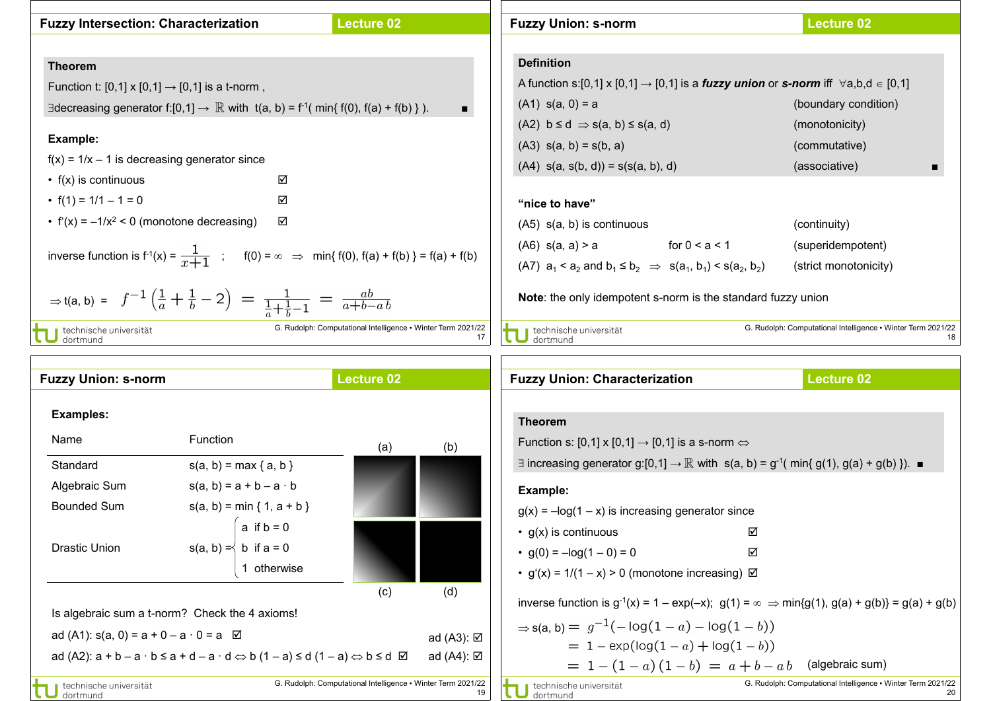| <b>Fuzzy Intersection: Characterization</b>                                                                                       | <b>Lecture 02</b>                                                  | <b>Fuzzy Union: s-norm</b>                                                                                              | <b>Lecture 02</b>                                                  |
|-----------------------------------------------------------------------------------------------------------------------------------|--------------------------------------------------------------------|-------------------------------------------------------------------------------------------------------------------------|--------------------------------------------------------------------|
|                                                                                                                                   |                                                                    |                                                                                                                         |                                                                    |
| <b>Theorem</b>                                                                                                                    |                                                                    | <b>Definition</b>                                                                                                       |                                                                    |
| Function t: $[0,1] \times [0,1] \to [0,1]$ is a t-norm,                                                                           |                                                                    | A function s:[0,1] x [0,1] $\rightarrow$ [0,1] is a <i>fuzzy union</i> or <i>s-norm</i> iff $\forall$ a,b,d $\in$ [0,1] |                                                                    |
| ∃decreasing generator f:[0,1] $\rightarrow \mathbb{R}$ with t(a, b) = f <sup>-1</sup> (min{ f(0), f(a) + f(b) }).                 | $\blacksquare$                                                     | $(A1)$ s(a, 0) = a                                                                                                      | (boundary condition)                                               |
|                                                                                                                                   |                                                                    | $(A2)$ b $\leq d \Rightarrow s(a, b) \leq s(a, d)$                                                                      | (monotonicity)                                                     |
| Example:                                                                                                                          |                                                                    | $(A3)$ s(a, b) = s(b, a)                                                                                                | (commutative)                                                      |
| $f(x) = 1/x - 1$ is decreasing generator since                                                                                    |                                                                    | $(A4)$ s(a, s(b, d)) = s(s(a, b), d)                                                                                    | (associative)                                                      |
| $\cdot$ f(x) is continuous                                                                                                        | ☑                                                                  |                                                                                                                         |                                                                    |
| • $f(1) = 1/1 - 1 = 0$                                                                                                            | ☑                                                                  | "nice to have"                                                                                                          |                                                                    |
| • $f'(x) = -1/x^2 < 0$ (monotone decreasing)                                                                                      | ☑                                                                  | $(A5)$ s(a, b) is continuous                                                                                            | (continuity)                                                       |
| inverse function is $f'(x) = \frac{1}{x+1}$ ; $f(0) = \infty \implies \min\{f(0), f(a) + f(b)\} = f(a) + f(b)$                    |                                                                    | $(AG)$ s(a, a) > a for $0 < a < 1$                                                                                      | (superidempotent)                                                  |
|                                                                                                                                   |                                                                    | (A7) $a_1 < a_2$ and $b_1 \le b_2 \implies s(a_1, b_1) < s(a_2, b_2)$                                                   | (strict monotonicity)                                              |
| $\Rightarrow$ t(a, b) = $f^{-1}(\frac{1}{a} + \frac{1}{b} - 2) = \frac{1}{\frac{1}{a} + \frac{1}{b} - 1} = \frac{ab}{a + b - ab}$ |                                                                    | Note: the only idempotent s-norm is the standard fuzzy union                                                            |                                                                    |
| technische universität<br>dortmund                                                                                                | G. Rudolph: Computational Intelligence . Winter Term 2021/22<br>17 | technische universität<br>dortmund                                                                                      | G. Rudolph: Computational Intelligence • Winter Term 2021/22<br>18 |
|                                                                                                                                   |                                                                    |                                                                                                                         |                                                                    |

| <b>Fuzzy Union: s-norm</b>                                 |                                                                                                                            | <b>Lecture 02</b>                                            |                   | <b>Fuzzy Union: Characterization</b>                                                                                                                                          |   | <b>Lecture 02</b>                                            |
|------------------------------------------------------------|----------------------------------------------------------------------------------------------------------------------------|--------------------------------------------------------------|-------------------|-------------------------------------------------------------------------------------------------------------------------------------------------------------------------------|---|--------------------------------------------------------------|
| <b>Examples:</b>                                           |                                                                                                                            |                                                              |                   | <b>Theorem</b>                                                                                                                                                                |   |                                                              |
| Name                                                       | <b>Function</b>                                                                                                            | (a)                                                          | (b)               | Function s: [0,1] x [0,1] $\rightarrow$ [0,1] is a s-norm $\Leftrightarrow$                                                                                                   |   |                                                              |
| Standard                                                   | $s(a, b) = max {a, b}$                                                                                                     |                                                              |                   | ∃ increasing generator g:[0,1] $\rightarrow \mathbb{R}$ with s(a, b) = g <sup>-1</sup> (min{ g(1), g(a) + g(b) }). ■                                                          |   |                                                              |
| Algebraic Sum                                              | $s(a, b) = a + b - a \cdot b$                                                                                              |                                                              |                   | Example:                                                                                                                                                                      |   |                                                              |
| <b>Bounded Sum</b>                                         | $s(a, b) = min \{ 1, a + b \}$                                                                                             |                                                              |                   | $g(x) = -\log(1 - x)$ is increasing generator since                                                                                                                           |   |                                                              |
|                                                            | a if $b = 0$                                                                                                               |                                                              |                   | $\cdot$ g(x) is continuous                                                                                                                                                    | ☑ |                                                              |
| <b>Drastic Union</b>                                       | $s(a, b) \leq b$ if $a = 0$                                                                                                |                                                              |                   | • $g(0) = -\log(1 - 0) = 0$                                                                                                                                                   | ☑ |                                                              |
|                                                            | 1 otherwise                                                                                                                |                                                              |                   | • $g'(x) = 1/(1 - x) > 0$ (monotone increasing) $\boxtimes$                                                                                                                   |   |                                                              |
|                                                            | Is algebraic sum a t-norm? Check the 4 axioms!                                                                             | (c)                                                          | (d)               | inverse function is $g^{-1}(x) = 1 - \exp(-x)$ ; $g(1) = \infty \implies \min\{g(1), g(a) + g(b)\} = g(a) + g(b)$<br>$\Rightarrow$ s(a, b) = $g^{-1}(-\log(1-a) - \log(1-b))$ |   |                                                              |
| ad (A1): $s(a, 0) = a + 0 - a \cdot 0 = a \ \ \n\boxtimes$ |                                                                                                                            |                                                              | ad (A3): <b>Ø</b> | $= 1 - \exp(\log(1 - a) + \log(1 - b))$                                                                                                                                       |   |                                                              |
|                                                            | ad (A2): $a + b - a \cdot b \le a + d - a \cdot d \Leftrightarrow b (1 - a) \le d (1 - a) \Leftrightarrow b \le d \square$ |                                                              | ad (A4): <b>Ø</b> | $= 1 - (1 - a)(1 - b) = a + b - ab$ (algebraic sum)                                                                                                                           |   |                                                              |
| technische universität<br>dortmund                         |                                                                                                                            | G. Rudolph: Computational Intelligence . Winter Term 2021/22 | 19                | technische universität<br>dortmund                                                                                                                                            |   | G. Rudolph: Computational Intelligence • Winter Term 2021/22 |